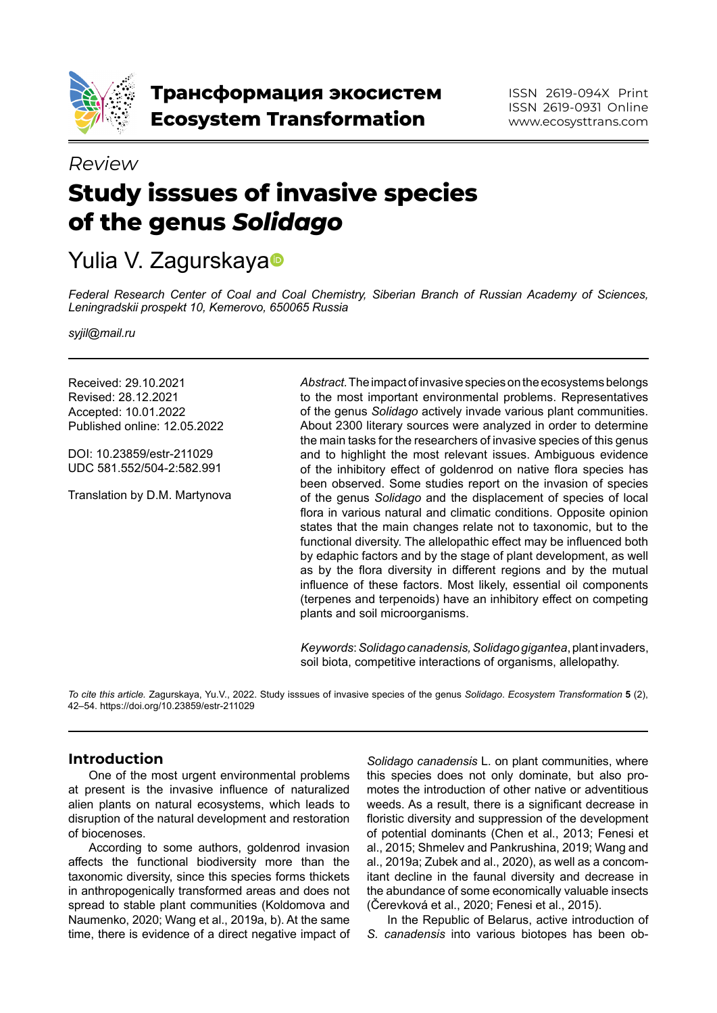

# **Study isssues of invasive species of the genus** *Solidago Review*

# Yuli[a](https://orcid.org/0000-0001-8101-0945) V. Zagurskaya<sup>®</sup>

*Federal Research Center of Coal and Coal Chemistry, Siberian Branch of Russian Academy of Sciences, Leningradskii prospekt 10, Kemerovo, 650065 Russia*

*syjil@mail.ru*

Received: 29.10.2021 Revised: 28.12.2021 Accepted: 10.01.2022 Published online: 12.05.2022

DOI: 10.23859/estr-211029 UDC 581.552/504-2:582.991

Translation by D.M. Martynova

*Abstract.* The impact of invasive species on the ecosystems belongs to the most important environmental problems. Representatives of the genus *Solidago* actively invade various plant communities. About 2300 literary sources were analyzed in order to determine the main tasks for the researchers of invasive species of this genus and to highlight the most relevant issues. Ambiguous evidence of the inhibitory effect of goldenrod on native flora species has been observed. Some studies report on the invasion of species of the genus *Solidago* and the displacement of species of local flora in various natural and climatic conditions. Opposite opinion states that the main changes relate not to taxonomic, but to the functional diversity. The allelopathic effect may be influenced both by edaphic factors and by the stage of plant development, as well as by the flora diversity in different regions and by the mutual influence of these factors. Most likely, essential oil components (terpenes and terpenoids) have an inhibitory effect on competing plants and soil microorganisms.

*Keywords*: *Solidago canadensis,Solidago gigantea*, plant invaders, soil biota, competitive interactions of organisms, allelopathy.

*To cite this article.* Zagurskaya, Yu.V., 2022. Study isssues of invasive species of the genus *Solidago*. *Ecosystem Transformation* **5** (2), 42–54. https://doi.org/10.23859/estr-211029

# **Introduction**

One of the most urgent environmental problems at present is the invasive influence of naturalized alien plants on natural ecosystems, which leads to disruption of the natural development and restoration of biocenoses.

According to some authors, goldenrod invasion affects the functional biodiversity more than the taxonomic diversity, since this species forms thickets in anthropogenically transformed areas and does not spread to stable plant communities (Koldomova and Naumenko, 2020; Wang et al., 2019a, b). At the same time, there is evidence of a direct negative impact of

*Solidago canadensis* L. on plant communities, where this species does not only dominate, but also promotes the introduction of other native or adventitious weeds. As a result, there is a significant decrease in floristic diversity and suppression of the development of potential dominants (Chen et al., 2013; Fenesi et al., 2015; Shmelev and Pankrushina, 2019; Wang and al., 2019a; Zubek and al., 2020), as well as a concomitant decline in the faunal diversity and decrease in the abundance of some economically valuable insects (Čerevková et al., 2020; Fenesi et al., 2015).

In the Republic of Belarus, active introduction of *S. canadensis* into various biotopes has been ob-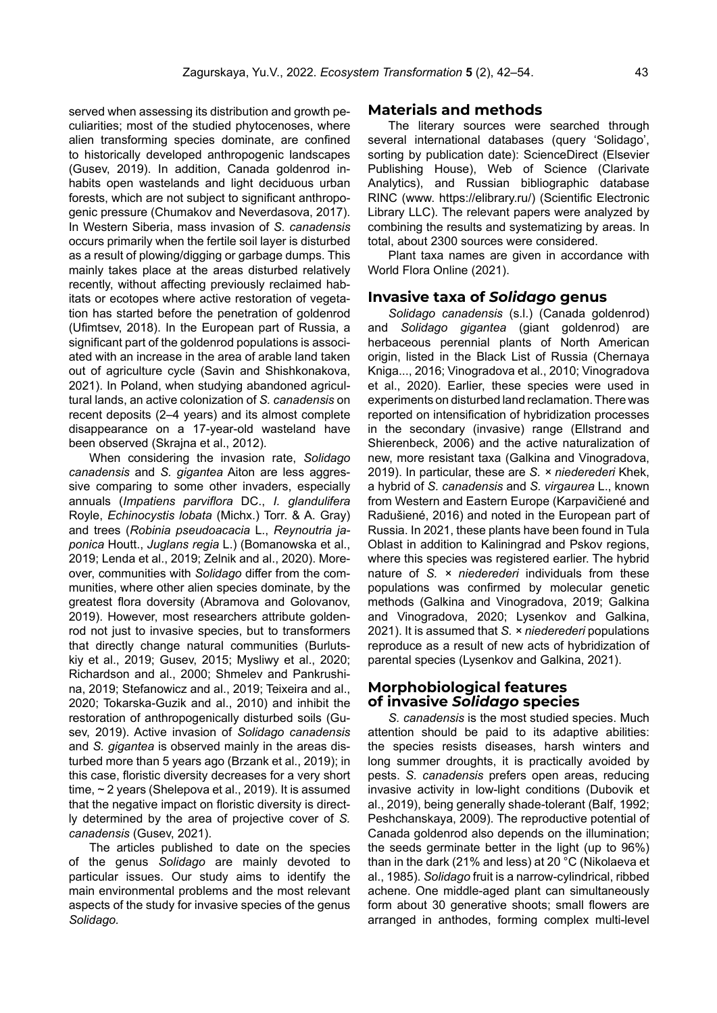served when assessing its distribution and growth peculiarities; most of the studied phytocenoses, where alien transforming species dominate, are confined to historically developed anthropogenic landscapes (Gusev, 2019). In addition, Canada goldenrod inhabits open wastelands and light deciduous urban forests, which are not subject to significant anthropogenic pressure (Chumakov and Neverdasova, 2017). In Western Siberia, mass invasion of *S. canadensis*  occurs primarily when the fertile soil layer is disturbed as a result of plowing/digging or garbage dumps. This mainly takes place at the areas disturbed relatively recently, without affecting previously reclaimed habitats or ecotopes where active restoration of vegetation has started before the penetration of goldenrod (Ufimtsev, 2018). In the European part of Russia, a significant part of the goldenrod populations is associated with an increase in the area of arable land taken out of agriculture cycle (Savin and Shishkonakova, 2021). In Poland, when studying abandoned agricultural lands, an active colonization of *S. canadensis* on recent deposits (2–4 years) and its almost complete disappearance on a 17-year-old wasteland have been observed (Skrajna et al., 2012).

When considering the invasion rate, *Solidago canadensis* and *S. gigantea* Aiton are less aggressive comparing to some other invaders, especially annuals (*Impatiens parviflora* DC., *I. glandulifera*  Royle, *Echinocystis lobata* (Michx.) Torr. & A. Gray) and trees (*Robinia pseudoacacia* L., *Reynoutria japonica* Houtt., *Juglans regia* L.) (Bomanowska et al., 2019; Lenda et al., 2019; Zelnik and al., 2020). Moreover, communities with *Solidago* differ from the communities, where other alien species dominate, by the greatest flora doversity (Abramova and Golovanov, 2019). However, most researchers attribute goldenrod not just to invasive species, but to transformers that directly change natural communities (Burlutskiy et al., 2019; Gusev, 2015; Mysliwy et al., 2020; Richardson and al., 2000; Shmelev and Pankrushina, 2019; Stefanowicz and al., 2019; Teixeira and al., 2020; Tokarska-Guzik and al., 2010) and inhibit the restoration of anthropogenically disturbed soils (Gusev, 2019). Active invasion of *Solidago canadensis*  and *S. gigantea* is observed mainly in the areas disturbed more than 5 years ago (Brzank et al., 2019); in this case, floristic diversity decreases for a very short time, ~ 2 years (Shelepova et al., 2019). It is assumed that the negative impact on floristic diversity is directly determined by the area of projective cover of *S. canadensis* (Gusev, 2021).

The articles published to date on the species of the genus *Solidago* are mainly devoted to particular issues. Our study aims to identify the main environmental problems and the most relevant aspects of the study for invasive species of the genus *Solidago.*

#### **Materials and methods**

The literary sources were searched through several international databases (query 'Solidago', sorting by publication date): ScienceDirect (Elsevier Publishing House), Web of Science (Clarivate Analytics), and Russian bibliographic database RINC (www. https://elibrary.ru/) (Scientific Electronic Library LLC). The relevant papers were analyzed by combining the results and systematizing by areas. In total, about 2300 sources were considered.

Plant taxa names are given in accordance with World Flora Online (2021).

#### **Invasive taxa of** *Solidago* **genus**

*Solidago canadensis* (s.l.) (Canada goldenrod) and *Solidago gigantea* (giant goldenrod) are herbaceous perennial plants of North American origin, listed in the Black List of Russia (Chernaya Kniga..., 2016; Vinogradova et al., 2010; Vinogradova et al., 2020). Earlier, these species were used in experiments on disturbed land reclamation. There was reported on intensification of hybridization processes in the secondary (invasive) range (Ellstrand and Shierenbeck, 2006) and the active naturalization of new, more resistant taxa (Galkina and Vinogradova, 2019). In particular, these are *S. × niederederi* Khek, a hybrid of *S. canadensis* and *S. virgaurea* L., known from Western and Eastern Europe (Karpavičiené and Radušiené, 2016) and noted in the European part of Russia. In 2021, these plants have been found in Tula Oblast in addition to Kaliningrad and Pskov regions, where this species was registered earlier. The hybrid nature of *S. × niederederi* individuals from these populations was confirmed by molecular genetic methods (Galkina and Vinogradova, 2019; Galkina and Vinogradova, 2020; Lysenkov and Galkina, 2021). It is assumed that *S. × niederederi* populations reproduce as a result of new acts of hybridization of parental species (Lysenkov and Galkina, 2021).

#### **Morphobiological features of invasive** *Solidago* **species**

*S. canadensis* is the most studied species. Much attention should be paid to its adaptive abilities: the species resists diseases, harsh winters and long summer droughts, it is practically avoided by pests. *S. canadensis* prefers open areas, reducing invasive activity in low-light conditions (Dubovik et al., 2019), being generally shade-tolerant (Balf, 1992; Peshchanskaya, 2009). The reproductive potential of Canada goldenrod also depends on the illumination; the seeds germinate better in the light (up to 96%) than in the dark (21% and less) at 20 °C (Nikolaeva et al., 1985). *Solidago* fruit is a narrow-cylindrical, ribbed achene. One middle-aged plant can simultaneously form about 30 generative shoots; small flowers are arranged in anthodes, forming complex multi-level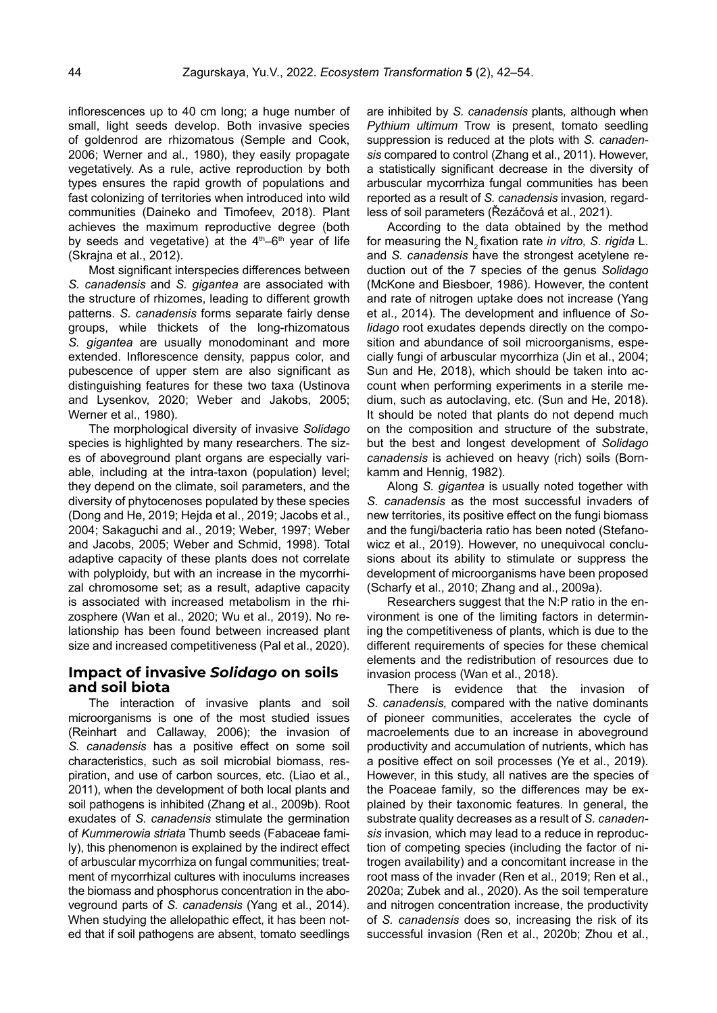inflorescences up to 40 cm long; a huge number of small, light seeds develop. Both invasive species of goldenrod are rhizomatous (Semple and Cook, 2006; Werner and al., 1980), they easily propagate vegetatively. As a rule, active reproduction by both types ensures the rapid growth of populations and fast colonizing of territories when introduced into wild communities (Daineko and Timofeev, 2018). Plant achieves the maximum reproductive degree (both by seeds and vegetative) at the  $4<sup>th</sup>-6<sup>th</sup>$  year of life (Skrajna et al., 2012).

Most significant interspecies differences between *S. canadensis* and *S. gigantea* are associated with the structure of rhizomes, leading to different growth patterns. *S. canadensis* forms separate fairly dense groups, while thickets of the long-rhizomatous *S. gigantea* are usually monodominant and more extended. Inflorescence density, pappus color, and pubescence of upper stem are also significant as distinguishing features for these two taxa (Ustinova and Lysenkov, 2020; Weber and Jakobs, 2005; Werner et al., 1980).

The morphological diversity of invasive *Solidago*  species is highlighted by many researchers*.* The sizes of aboveground plant organs are especially variable, including at the intra-taxon (population) level; they depend on the climate, soil parameters, and the diversity of phytocenoses populated by these species (Dong and He, 2019; Hejda et al., 2019; Jacobs et al., 2004; Sakaguchi and al., 2019; Weber, 1997; Weber and Jacobs, 2005; Weber and Schmid, 1998). Total adaptive capacity of these plants does not correlate with polyploidy, but with an increase in the mycorrhizal chromosome set; as a result, adaptive capacity is associated with increased metabolism in the rhizosphere (Wan et al., 2020; Wu et al., 2019). No relationship has been found between increased plant size and increased competitiveness (Pal et al., 2020).

# **Impact of invasive** *Solidago* **on soils and soil biota**

The interaction of invasive plants and soil microorganisms is one of the most studied issues (Reinhart and Callaway, 2006); the invasion of *S. canadensis* has a positive effect on some soil characteristics, such as soil microbial biomass, respiration, and use of carbon sources, etc. (Liao et al., 2011), when the development of both local plants and soil pathogens is inhibited (Zhang et al., 2009b). Root exudates of *S. canadensis* stimulate the germination of *Kummerowia striata* Thumb seeds (Fabaceae family), this phenomenon is explained by the indirect effect of arbuscular mycorrhiza on fungal communities; treatment of mycorrhizal cultures with inoculums increases the biomass and phosphorus concentration in the aboveground parts of *S. canadensis* (Yang et al., 2014). When studying the allelopathic effect, it has been noted that if soil pathogens are absent, tomato seedlings are inhibited by *S. canadensis* plants*,* although when *Pythium ultimum* Trow is present, tomato seedling suppression is reduced at the plots with *S. canadensis* compared to control (Zhang et al., 2011). However, a statistically significant decrease in the diversity of arbuscular mycorrhiza fungal communities has been reported as a result of *S. canadensis* invasion*,* regardless of soil parameters (Řezáčová et al., 2021).

According to the data obtained by the method for measuring the N2 fixation rate *in vitro, S. rigida* L. and *S. canadensis* have the strongest acetylene reduction out of the 7 species of the genus *Solidago*  (McKone and Biesboer, 1986). However, the content and rate of nitrogen uptake does not increase (Yang et al., 2014). The development and influence of *Solidago* root exudates depends directly on the composition and abundance of soil microorganisms, especially fungi of arbuscular mycorrhiza (Jin et al., 2004; Sun and He, 2018), which should be taken into account when performing experiments in a sterile medium, such as autoclaving, etc. (Sun and He, 2018). It should be noted that plants do not depend much on the composition and structure of the substrate, but the best and longest development of *Solidago canadensis* is achieved on heavy (rich) soils (Bornkamm and Hennig, 1982).

Along *S. gigantea* is usually noted together with *S. canadensis* as the most successful invaders of new territories, its positive effect on the fungi biomass and the fungi/bacteria ratio has been noted (Stefanowicz et al., 2019). However, no unequivocal conclusions about its ability to stimulate or suppress the development of microorganisms have been proposed (Scharfy et al., 2010; Zhang and al., 2009a).

Researchers suggest that the N:P ratio in the environment is one of the limiting factors in determining the competitiveness of plants, which is due to the different requirements of species for these chemical elements and the redistribution of resources due to invasion process (Wan et al., 2018).

There is evidence that the invasion of *S. canadensis,* compared with the native dominants of pioneer communities, accelerates the cycle of macroelements due to an increase in aboveground productivity and accumulation of nutrients, which has a positive effect on soil processes (Ye et al., 2019). However, in this study, all natives are the species of the Poaceae family*,* so the differences may be explained by their taxonomic features. In general, the substrate quality decreases as a result of *S. canadensis* invasion*,* which may lead to a reduce in reproduction of competing species (including the factor of nitrogen availability) and a concomitant increase in the root mass of the invader (Ren et al., 2019; Ren et al., 2020a; Zubek and al., 2020). As the soil temperature and nitrogen concentration increase, the productivity of *S. canadensis* does so, increasing the risk of its successful invasion (Ren et al., 2020b; Zhou et al.,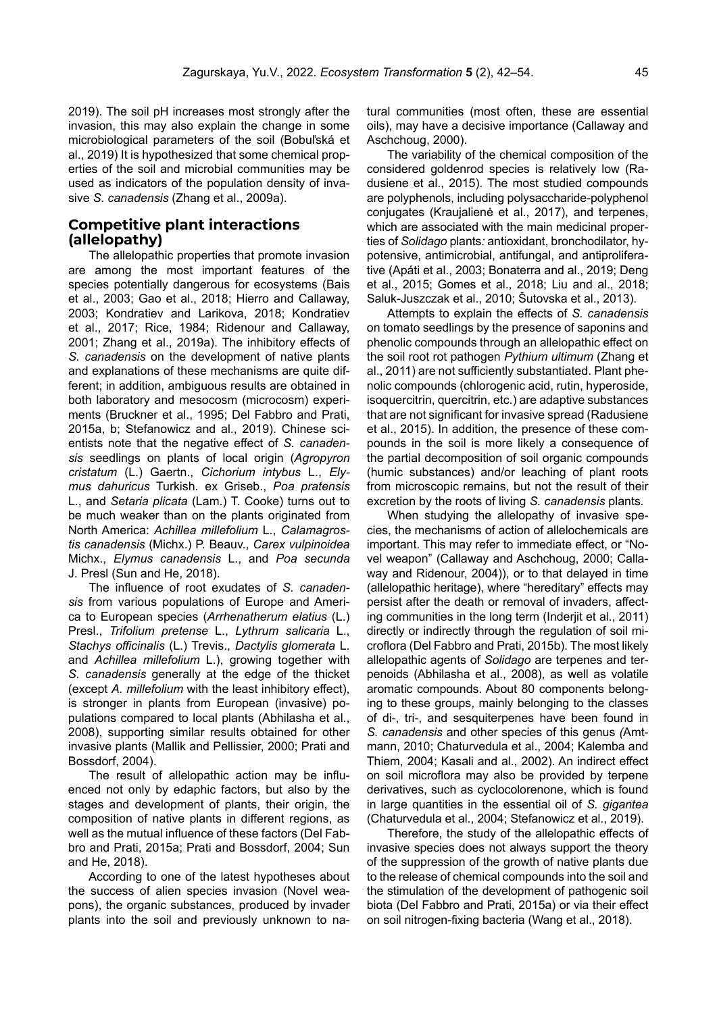2019). The soil pH increases most strongly after the invasion, this may also explain the change in some microbiological parameters of the soil (Bobuľská et al., 2019) It is hypothesized that some chemical properties of the soil and microbial communities may be used as indicators of the population density of invasive *S. canadensis* (Zhang et al., 2009a).

### **Competitive plant interactions (allelopathy)**

The allelopathic properties that promote invasion are among the most important features of the species potentially dangerous for ecosystems (Bais et al., 2003; Gao et al., 2018; Hierro and Callaway, 2003; Kondratiev and Larikova, 2018; Kondratiev et al., 2017; Rice, 1984; Ridenour and Callaway, 2001; Zhang et al., 2019a). The inhibitory effects of *S. canadensis* on the development of native plants and explanations of these mechanisms are quite different; in addition, ambiguous results are obtained in both laboratory and mesocosm (microcosm) experiments (Bruckner et al., 1995; Del Fabbro and Prati, 2015a, b; Stefanowicz and al., 2019). Chinese scientists note that the negative effect of *S. canadensis* seedlings on plants of local origin (*Agropyron cristatum* (L.) Gaertn., *Cichorium intybus* L., *Elymus dahuricus* Turkish. ex Griseb., *Poa pratensis*  L., and *Setaria plicata* (Lam.) T. Cooke) turns out to be much weaker than on the plants originated from North America: *Achillea millefolium* L., *Calamagrostis canadensis* (Michx.) P. Beauv., *Carex vulpinoidea*  Michx., *Elymus canadensis* L., and *Poa secunda*  J. Presl (Sun and He, 2018).

The influence of root exudates of *S. canadensis* from various populations of Europe and America to European species (*Arrhenatherum elatius* (L.) Presl., *Trifolium pretense* L., *Lythrum salicaria* L., *Stachys officinalis* (L.) Trevis., *Dactylis glomerata* L. and *Achillea millefolium* L.), growing together with *S. canadensis* generally at the edge of the thicket (except *A. millefolium* with the least inhibitory effect), is stronger in plants from European (invasive) populations compared to local plants (Abhilasha et al., 2008), supporting similar results obtained for other invasive plants (Mallik and Pellissier, 2000; Prati and Bossdorf, 2004).

The result of allelopathic action may be influenced not only by edaphic factors, but also by the stages and development of plants, their origin, the composition of native plants in different regions, as well as the mutual influence of these factors (Del Fabbro and Prati, 2015a; Prati and Bossdorf, 2004; Sun and He, 2018).

According to one of the latest hypotheses about the success of alien species invasion (Novel weapons), the organic substances, produced by invader plants into the soil and previously unknown to natural communities (most often, these are essential oils), may have a decisive importance (Callaway and Aschchoug, 2000).

The variability of the chemical composition of the considered goldenrod species is relatively low (Radusiene et al., 2015). The most studied compounds are polyphenols, including polysaccharide-polyphenol conjugates (Kraujalienė et al., 2017), and terpenes, which are associated with the main medicinal properties of *Solidago* plants*:* antioxidant, bronchodilator, hypotensive, antimicrobial, antifungal, and antiproliferative (Apáti et al., 2003; Bonaterra and al., 2019; Deng et al., 2015; Gomes et al., 2018; Liu and al., 2018; Saluk-Juszczak et al., 2010; Šutovska et al., 2013).

Attempts to explain the effects of *S. canadensis*  on tomato seedlings by the presence of saponins and phenolic compounds through an allelopathic effect on the soil root rot pathogen *Pythium ultimum* (Zhang et al., 2011) are not sufficiently substantiated. Plant phenolic compounds (chlorogenic acid, rutin, hyperoside, isoquercitrin, quercitrin, etc.) are adaptive substances that are not significant for invasive spread (Radusiene et al., 2015). In addition, the presence of these compounds in the soil is more likely a consequence of the partial decomposition of soil organic compounds (humic substances) and/or leaching of plant roots from microscopic remains, but not the result of their excretion by the roots of living *S. canadensis* plants*.*

When studying the allelopathy of invasive species, the mechanisms of action of allelochemicals are important. This may refer to immediate effect, or "Novel weapon" (Callaway and Aschchoug, 2000; Callaway and Ridenour, 2004)), or to that delayed in time (allelopathic heritage), where "hereditary" effects may persist after the death or removal of invaders, affecting communities in the long term (Inderjit et al., 2011) directly or indirectly through the regulation of soil microflora (Del Fabbro and Prati, 2015b). The most likely allelopathic agents of *Solidago* are terpenes and terpenoids (Abhilasha et al., 2008), as well as volatile aromatic compounds. About 80 components belonging to these groups, mainly belonging to the classes of di-, tri-, and sesquiterpenes have been found in *S. canadensis* and other species of this genus *(*Amtmann, 2010; Chaturvedula et al., 2004; Kalemba and Thiem, 2004; Kasali and al., 2002). An indirect effect on soil microflora may also be provided by terpene derivatives, such as cyclocolorenone, which is found in large quantities in the essential oil of *S. gigantea*  (Chaturvedula et al., 2004; Stefanowicz et al., 2019).

Therefore, the study of the allelopathic effects of invasive species does not always support the theory of the suppression of the growth of native plants due to the release of chemical compounds into the soil and the stimulation of the development of pathogenic soil biota (Del Fabbro and Prati, 2015a) or via their effect on soil nitrogen-fixing bacteria (Wang et al., 2018).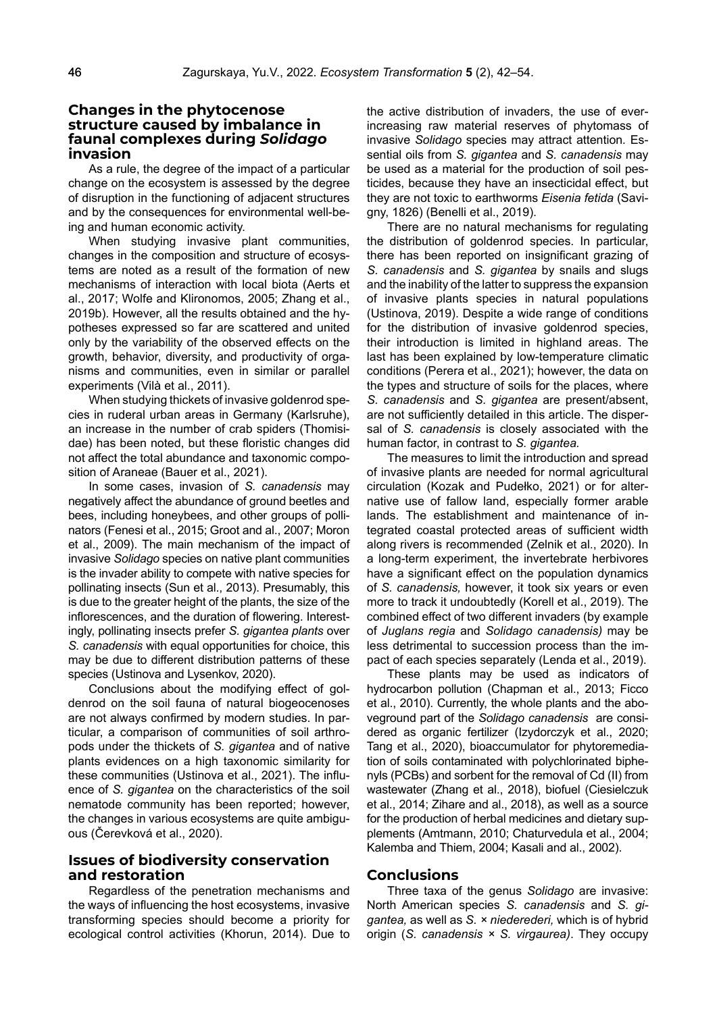#### **Changes in the phytocenose structure caused by imbalance in faunal complexes during** *Solidago*  **invasion**

As a rule, the degree of the impact of a particular change on the ecosystem is assessed by the degree of disruption in the functioning of adjacent structures and by the consequences for environmental well-being and human economic activity.

When studying invasive plant communities, changes in the composition and structure of ecosystems are noted as a result of the formation of new mechanisms of interaction with local biota (Aerts et al., 2017; Wolfe and Klironomos, 2005; Zhang et al., 2019b). However, all the results obtained and the hypotheses expressed so far are scattered and united only by the variability of the observed effects on the growth, behavior, diversity, and productivity of organisms and communities, even in similar or parallel experiments (Vilà et al., 2011).

When studying thickets of invasive goldenrod species in ruderal urban areas in Germany (Karlsruhe), an increase in the number of crab spiders (Thomisidae) has been noted, but these floristic changes did not affect the total abundance and taxonomic composition of Araneae (Bauer et al., 2021).

In some cases, invasion of *S. canadensis* may negatively affect the abundance of ground beetles and bees, including honeybees, and other groups of pollinators (Fenesi et al., 2015; Groot and al., 2007; Moron et al., 2009). The main mechanism of the impact of invasive *Solidago* species on native plant communities is the invader ability to compete with native species for pollinating insects (Sun et al., 2013). Presumably, this is due to the greater height of the plants, the size of the inflorescences, and the duration of flowering. Interestingly, pollinating insects prefer *S. gigantea plants* over *S. canadensis* with equal opportunities for choice, this may be due to different distribution patterns of these species (Ustinova and Lysenkov, 2020).

Conclusions about the modifying effect of goldenrod on the soil fauna of natural biogeocenoses are not always confirmed by modern studies. In particular, a comparison of communities of soil arthropods under the thickets of *S. gigantea* and of native plants evidences on a high taxonomic similarity for these communities (Ustinova et al., 2021). The influence of *S. gigantea* on the characteristics of the soil nematode community has been reported; however, the changes in various ecosystems are quite ambiguous (Čerevková et al., 2020).

# **Issues of biodiversity conservation and restoration**

Regardless of the penetration mechanisms and the ways of influencing the host ecosystems, invasive transforming species should become a priority for ecological control activities (Khorun, 2014). Due to the active distribution of invaders, the use of everincreasing raw material reserves of phytomass of invasive *Solidago* species may attract attention*.* Essential oils from *S. gigantea* and *S. canadensis* may be used as a material for the production of soil pesticides, because they have an insecticidal effect, but they are not toxic to earthworms *Eisenia fetida* (Savigny, 1826) (Benelli et al., 2019).

There are no natural mechanisms for regulating the distribution of goldenrod species. In particular, there has been reported on insignificant grazing of *S. canadensis* and *S. gigantea* by snails and slugs and the inability of the latter to suppress the expansion of invasive plants species in natural populations (Ustinova, 2019). Despite a wide range of conditions for the distribution of invasive goldenrod species, their introduction is limited in highland areas. The last has been explained by low-temperature climatic conditions (Perera et al., 2021); however, the data on the types and structure of soils for the places, where *S. canadensis* and *S. gigantea* are present/absent, are not sufficiently detailed in this article. The dispersal of *S. canadensis* is closely associated with the human factor, in contrast to *S. gigantea.*

The measures to limit the introduction and spread of invasive plants are needed for normal agricultural circulation (Kozak and Pudełko, 2021) or for alternative use of fallow land, especially former arable lands. The establishment and maintenance of integrated coastal protected areas of sufficient width along rivers is recommended (Zelnik et al., 2020). In a long-term experiment, the invertebrate herbivores have a significant effect on the population dynamics of *S. canadensis,* however, it took six years or even more to track it undoubtedly (Korell et al., 2019). The combined effect of two different invaders (by example of *Juglans regia* and *Solidago canadensis)* may be less detrimental to succession process than the impact of each species separately (Lenda et al., 2019).

These plants may be used as indicators of hydrocarbon pollution (Chapman et al., 2013; Ficco et al., 2010). Currently, the whole plants and the aboveground part of the *Solidago canadensis* are considered as organic fertilizer (Izydorczyk et al., 2020; Tang et al., 2020), bioaccumulator for phytoremediation of soils contaminated with polychlorinated biphenyls (PCBs) and sorbent for the removal of Cd (II) from wastewater (Zhang et al., 2018), biofuel (Ciesielczuk et al., 2014; Zihare and al., 2018), as well as a source for the production of herbal medicines and dietary supplements (Amtmann, 2010; Chaturvedula et al., 2004; Kalemba and Thiem, 2004; Kasali and al., 2002).

# **Conclusions**

Three taxa of the genus *Solidago* are invasive: North American species *S. canadensis* and *S. gigantea,* as well as *S. × niederederi,* which is of hybrid origin (*S. canadensis × S. virgaurea)*. They occupy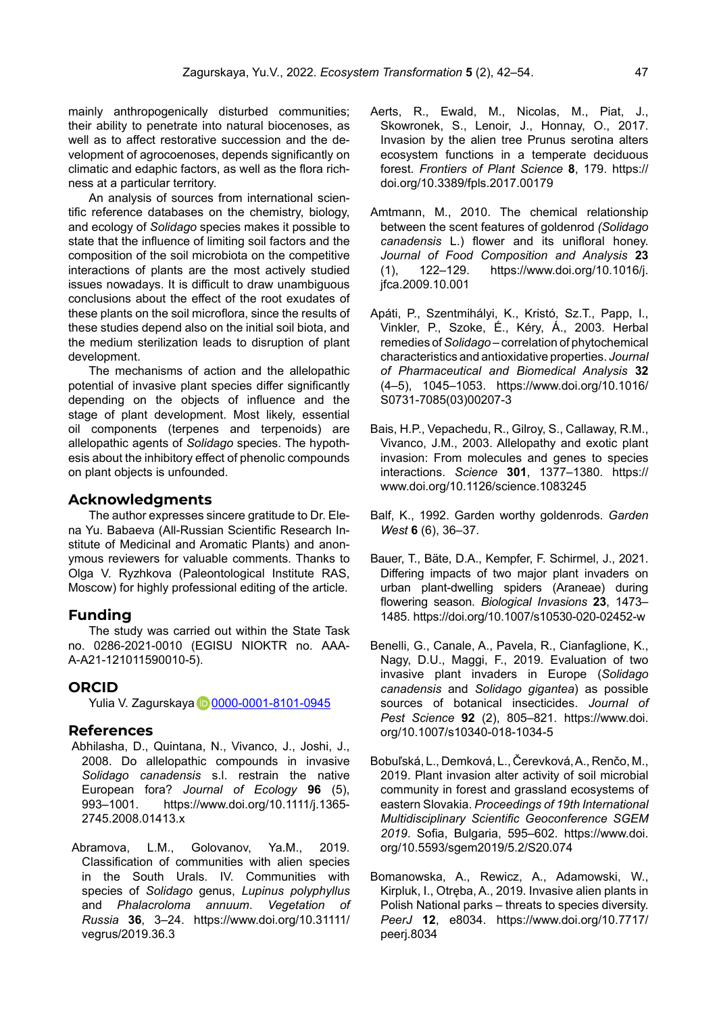mainly anthropogenically disturbed communities; their ability to penetrate into natural biocenoses, as well as to affect restorative succession and the development of agrocoenoses, depends significantly on climatic and edaphic factors, as well as the flora richness at a particular territory.

An analysis of sources from international scientific reference databases on the chemistry, biology, and ecology of *Solidago* species makes it possible to state that the influence of limiting soil factors and the composition of the soil microbiota on the competitive interactions of plants are the most actively studied issues nowadays. It is difficult to draw unambiguous conclusions about the effect of the root exudates of these plants on the soil microflora, since the results of these studies depend also on the initial soil biota, and the medium sterilization leads to disruption of plant development.

The mechanisms of action and the allelopathic potential of invasive plant species differ significantly depending on the objects of influence and the stage of plant development. Most likely, essential oil components (terpenes and terpenoids) are allelopathic agents of *Solidago* species. The hypothesis about the inhibitory effect of phenolic compounds on plant objects is unfounded.

#### **Acknowledgments**

The author expresses sincere gratitude to Dr. Elena Yu. Babaeva (All-Russian Scientific Research Institute of Medicinal and Aromatic Plants) and anonymous reviewers for valuable comments. Thanks to Olga V. Ryzhkova (Paleontological Institute RAS, Moscow) for highly professional editing of the article.

# **Funding**

The study was carried out within the State Task no. 0286-2021-0010 (EGISU NIOKTR no. ААА-А-А21-121011590010-5).

# **ORCID**

Yuli[a](https://orcid.org/0000-0001-8101-0945) V. Zagurskaya **D** [0000-0001-8101-0945](https://orcid.org/0000-0001-8101-0945)

#### **References**

- Abhilasha, D., Quintana, N., Vivanco, J., Joshi, J., 2008. Do allelopathic compounds in invasive *Solidago canadensis* s.l. restrain the native European fora? *Journal of Ecology* **96** (5), 993–1001. https://www.doi.org/10.1111/j.1365- 2745.2008.01413.x
- Abramova, L.M., Golovanov, Ya.M., 2019. Classification of communities with alien species in the South Urals. IV. Communities with species of *Solidago* genus, *Lupinus polyphyllus* and *Phalacroloma annuum*. *Vegetation of Russia* **36**, 3–24. https://www.doi.org/10.31111/ vegrus/2019.36.3
- Aerts, R., Ewald, M., Nicolas, M., Piat, J., Skowronek, S., Lenoir, J., Honnay, O., 2017. Invasion by the alien tree Prunus serotina alters ecosystem functions in a temperate deciduous forest. *Frontiers of Plant Science* **8**, 179. https:// doi.org/10.3389/fpls.2017.00179
- Amtmann, M., 2010. The chemical relationship between the scent features of goldenrod *(Solidago canadensis* L.) flower and its unifloral honey. *Journal of Food Composition and Analysis* **23** (1), 122–129. https://www.doi.org/10.1016/j. jfca.2009.10.001
- Apáti, P., Szentmihályi, K., Kristó, Sz.T., Papp, I., Vinkler, P., Szoke, É., Kéry, Á., 2003. Herbal remedies of *Solidago* – correlation of phytochemical characteristics and antioxidative properties. *Journal of Pharmaceutical and Biomedical Analysis* **32** (4–5), 1045–1053. https://www.doi.org/10.1016/ S0731-7085(03)00207-3
- Bais, H.P., Vepachedu, R., Gilroy, S., Callaway, R.M., Vivanco, J.M., 2003. Allelopathy and exotic plant invasion: From molecules and genes to species interactions. *Science* **301**, 1377–1380. https:// www.doi.org/10.1126/science.1083245
- Balf, K., 1992. Garden worthy goldenrods. *Garden West* **6** (6), 36–37.
- Bauer, T., Bäte, D.A., Kempfer, F. Schirmel, J., 2021. Differing impacts of two major plant invaders on urban plant-dwelling spiders (Araneae) during flowering season. *Biological Invasions* **23**, 1473– 1485. https://doi.org/10.1007/s10530-020-02452-w
- Benelli, G., Canale, A., Pavela, R., Cianfaglione, K., Nagy, D.U., Maggi, F., 2019. Evaluation of two invasive plant invaders in Europe (*Solidago canadensis* and *Solidago gigantea*) as possible sources of botanical insecticides. *Journal of Pest Science* **92** (2), 805–821. https://www.doi. org/10.1007/s10340-018-1034-5
- Bobuľská, L., Demková, L., Čerevková,A., Renčo, M., 2019. Plant invasion alter activity of soil microbial community in forest and grassland ecosystems of eastern Slovakia. *Proceedings of 19th International Multidisciplinary Scientific Geoconference SGEM 2019*. Sofia, Bulgaria, 595–602. https://www.doi. org/10.5593/sgem2019/5.2/S20.074
- Bomanowska, A., Rewicz, A., Adamowski, W., Kirpluk, I., Otręba, A., 2019. Invasive alien plants in Polish National parks – threats to species diversity. *PeerJ* **12**, e8034. https://www.doi.org/10.7717/ peerj.8034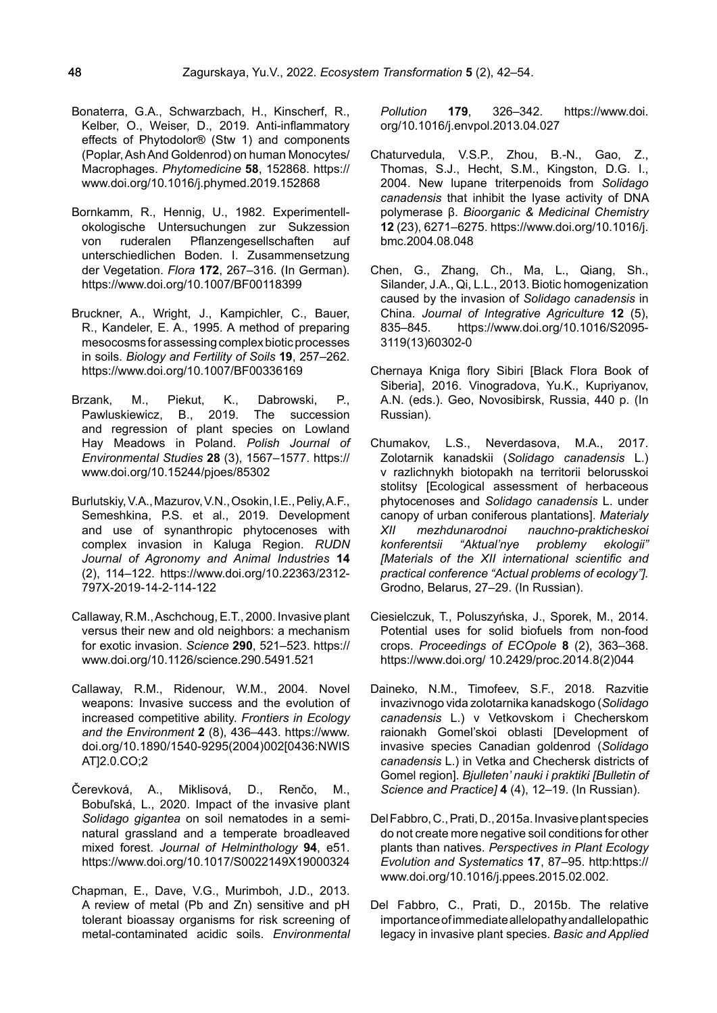- Bonaterra, G.A., Schwarzbach, H., Kinscherf, R., Kelber, O., Weiser, D., 2019. Anti-inflammatory effects of Phytodolor® (Stw 1) and components (Poplar, Ash And Goldenrod) on human Monocytes/ Macrophages. *Phytomedicine* **58**, 152868. https:// www.doi.org/10.1016/j.phymed.2019.152868
- Bornkamm, R., Hennig, U., 1982. Experimentellokologische Untersuchungen zur Sukzession von ruderalen Pflanzengesellschaften auf unterschiedlichen Boden. I. Zusammensetzung der Vegetation. *Flora* **172**, 267–316. (In German). https://www.doi.org/10.1007/BF00118399
- Bruckner, A., Wright, J., Kampichler, C., Bauer, R., Kandeler, E. A., 1995. A method of preparing mesocosms for assessing complex biotic processes in soils. *Biology and Fertility of Soils* **19**, 257–262. https://www.doi.org/10.1007/BF00336169
- Brzank, M., Piekut, K., Dabrowski, P.,<br>Pawluskiewicz, B., 2019. The succession Pawluskiewicz, B., 2019. The succession and regression of plant species on Lowland Hay Meadows in Poland. *Polish Journal of Environmental Studies* **28** (3), 1567–1577. https:// www.doi.org/10.15244/pjoes/85302
- Burlutskiy,V.A., Mazurov,V.N., Osokin,I.E., Peliy,A.F., Semeshkina, P.S. et al., 2019. Development and use of synanthropic phytocenoses with complex invasion in Kaluga Region. *RUDN Journal of Agronomy and Animal Industries* **14** (2), 114–122. https://www.doi.org/10.22363/2312- 797X-2019-14-2-114-122
- Callaway, R.M., Aschchoug, E.T., 2000. Invasive plant versus their new and old neighbors: a mechanism for exotic invasion. *Science* **290**, 521–523. https:// www.doi.org/10.1126/science.290.5491.521
- Callaway, R.M., Ridenour, W.M., 2004. Novel weapons: Invasive success and the evolution of increased competitive ability. *Frontiers in Ecology and the Environment* **2** (8), 436–443. https://www. doi.org/10.1890/1540-9295(2004)002[0436:NWIS AT12.0.CO:2
- Čerevková, A., Miklisová, D., Renčo, M., Bobuľská, L., 2020. Impact of the invasive plant *Solidago gigantea* on soil nematodes in a seminatural grassland and a temperate broadleaved mixed forest. *Journal of Helminthology* **94**, e51. https://www.doi.org/10.1017/S0022149X19000324
- Chapman, E., Dave, V.G., Murimboh, J.D., 2013. A review of metal (Pb and Zn) sensitive and pH tolerant bioassay organisms for risk screening of metal-contaminated acidic soils. *Environmental*

*Pollution* **179**, 326–342. https://www.doi. org/10.1016/j.envpol.2013.04.027

- Chaturvedula, V.S.P., Zhou, B.-N., Gao, Z., Thomas, S.J., Hecht, S.M., Kingston, D.G. I., 2004. New lupane triterpenoids from *Solidago canadensis* that inhibit the lyase activity of DNA polymerase β. *Bioorganic & Medicinal Chemistry* **12** (23), 6271–6275. https://www.doi.org/10.1016/j. bmc.2004.08.048
- Chen, G., Zhang, Ch., Ma, L., Qiang, Sh., Silander, J.A., Qi, L.L., 2013. Biotic homogenization caused by the invasion of *Solidago canadensis* in China. *Journal of Integrative Agriculture* **12** (5), 835–845. https://www.doi.org/10.1016/S2095- 3119(13)60302-0
- Chernaya Kniga flory Sibiri [Black Flora Book of Siberia], 2016. Vinogradova, Yu.K., Kupriyanov, A.N. (eds.). Geo, Novosibirsk, Russia, 440 p. (In Russian).
- Chumakov, L.S., Neverdasova, M.A., 2017. Zolotarnik kanadskii (*Solidago canadensis* L.) v razlichnykh biotopakh na territorii belorusskoi stolitsy [Ecological assessment of herbaceous phytocenoses and *Solidago canadensis* L. under canopy of urban coniferous plantations]. *Materialy XII mezhdunarodnoi nauchno-prakticheskoi konferentsii "Aktual'nye problemy ekologii" [Materials of the XII international scientific and practical conference "Actual problems of ecology"].* Grodno, Belarus, 27–29. (In Russian).
- Ciesielczuk, T., Poluszyńska, J., Sporek, M., 2014. Potential uses for solid biofuels from non-food crops. *Proceedings of ECOpole* **8** (2), 363–368. https://www.doi.org/ 10.2429/proc.2014.8(2)044
- Daineko, N.M., Timofeev, S.F., 2018. Razvitie invazivnogo vida zolotarnika kanadskogo (*Solidago canadensis* L.) v Vetkovskom i Checherskom raionakh Gomel'skoi oblasti [Development of invasive species Canadian goldenrod (*Solidago canadensis* L.) in Vetka and Chechersk districts of Gomel region]. *Bjulleten' nauki i praktiki [Bulletin of Science and Practice]* **4** (4), 12–19. (In Russian).
- Del Fabbro, C., Prati, D., 2015a. Invasive plant species do not create more negative soil conditions for other plants than natives. *Perspectives in Plant Ecology Evolution and Systematics* **17**, 87–95. http:https:// www.doi.org/10.1016/j.ppees.2015.02.002.
- Del Fabbro, C., Prati, D., 2015b. The relative importance of immediate allelopathy andallelopathic legacy in invasive plant species. *Basic and Applied*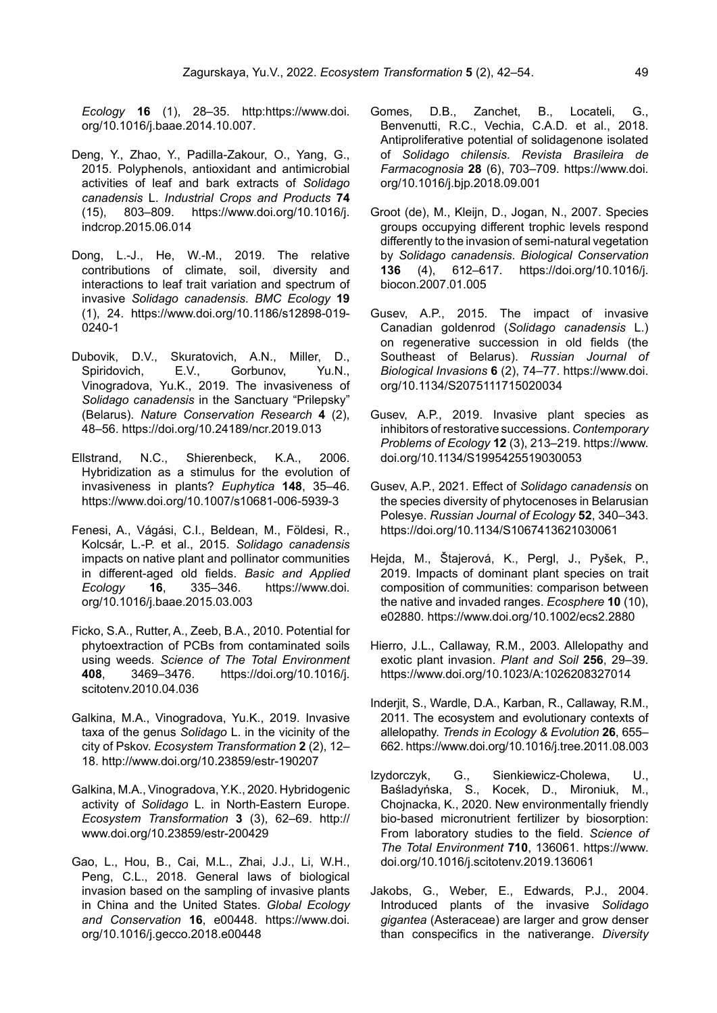*Ecology* **16** (1), 28–35. http:https://www.doi. org/10.1016/j.baae.2014.10.007.

- Deng, Y., Zhao, Y., Padilla-Zakour, O., Yang, G., 2015. Polyphenols, antioxidant and antimicrobial activities of leaf and bark extracts of *Solidago canadensis* L. *Industrial Crops and Products* **74** (15), 803–809. https://www.doi.org/10.1016/j. indcrop.2015.06.014
- Dong, L.-J., He, W.-M., 2019. The relative contributions of climate, soil, diversity and interactions to leaf trait variation and spectrum of invasive *Solidago canadensis*. *BMC Ecology* **19** (1), 24. https://www.doi.org/10.1186/s12898-019- 0240-1
- Dubovik, D.V., Skuratovich, A.N., Miller, D., Spiridovich, E.V., Gorbunov, Yu.N., Vinogradova, Yu.K., 2019. The invasiveness of *Solidago canadensis* in the Sanctuary "Prilepsky" (Belarus). *Nature Conservation Research* **4** (2), 48–56. https://doi.org/10.24189/ncr.2019.013
- Ellstrand, N.C., Shierenbeck, K.A., 2006. Hybridization as a stimulus for the evolution of invasiveness in plants? *Euphytica* **148**, 35–46. https://www.doi.org/10.1007/s10681-006-5939-3
- Fenesi, A., Vágási, C.I., Beldean, M., Földesi, R., Kolcsár, L.-P. et al., 2015. *Solidago canadensis* impacts on native plant and pollinator communities in different-aged old fields. *Basic and Applied Ecology* **16**, 335–346. https://www.doi. org/10.1016/j.baae.2015.03.003
- Ficko, S.A., Rutter, A., Zeeb, B.A., 2010. Potential for phytoextraction of PCBs from contaminated soils using weeds. *Science of The Total Environment* **408**, 3469–3476. https://doi.org/10.1016/j. scitotenv.2010.04.036
- Galkina, M.A., Vinogradova, Yu.K., 2019. Invasive taxa of the genus *Solidago* L. in the vicinity of the city of Pskov. *Ecosystem Transformation* **2** (2), 12– 18. <http://www.doi.org/10.23859/estr-190207>
- Galkina, M.A., Vinogradova,Y.K., 2020. Hybridogenic activity of *Solidago* L. in North-Eastern Europe. *Ecosystem Transformation* **3** (3), 62–69. [http://](http://www.doi.org/10.23859/estr-200429) [www.doi.org/10.23859/estr-200429](http://www.doi.org/10.23859/estr-200429)
- Gao, L., Hou, B., Cai, M.L., Zhai, J.J., Li, W.H., Peng, C.L., 2018. General laws of biological invasion based on the sampling of invasive plants in China and the United States. *Global Ecology and Conservation* **16**, e00448. https://www.doi. org/10.1016/j.gecco.2018.e00448
- Gomes, D.B., Zanchet, B., Locateli, G., Benvenutti, R.C., Vechia, C.A.D. et al., 2018. Antiproliferative potential of solidagenone isolated of *Solidago chilensis*. *Revista Brasileira de Farmacognosia* **28** (6), 703–709. https://www.doi. org/10.1016/j.bjp.2018.09.001
- Groot (de), M., Kleijn, D., Jogan, N., 2007. Species groups occupying different trophic levels respond differently to the invasion of semi-natural vegetation by *Solidago canadensis*. *Biological Conservation* **136** (4), 612–617. https://doi.org/10.1016/j. biocon.2007.01.005
- Gusev, A.P., 2015. The impact of invasive Canadian goldenrod (*Solidago canadensis* L.) on regenerative succession in old fields (the Southeast of Belarus). *Russian Journal of Biological Invasions* **6** (2), 74–77. https://www.doi. org/10.1134/S2075111715020034
- Gusev, A.P., 2019. Invasive plant species as inhibitors of restorative successions. *Contemporary Problems of Ecology* **12** (3), 213–219. https://www. doi.org/10.1134/S1995425519030053
- Gusev, A.P., 2021. Effect of *Solidago canadensis* on the species diversity of phytocenoses in Belarusian Polesye. *Russian Journal of Ecology* **52**, 340–343. https://doi.org/10.1134/S1067413621030061
- Hejda, M., Štajerová, K., Pergl, J., Pyšek, P., 2019. Impacts of dominant plant species on trait composition of communities: comparison between the native and invaded ranges. *Ecosphere* **10** (10), e02880. https://www.doi.org/10.1002/ecs2.2880
- Hierro, J.L., Callaway, R.M., 2003. Allelopathy and exotic plant invasion. *Plant and Soil* **256**, 29–39. https://www.doi.org/10.1023/A:1026208327014
- Inderjit, S., Wardle, D.A., Karban, R., Callaway, R.M., 2011. The ecosystem and evolutionary contexts of allelopathy. *Trends in Ecology & Evolution* **26**, 655– 662. https://www.doi.org/10.1016/j.tree.2011.08.003
- Izydorczyk, G., Sienkiewicz-Cholewa, U., Baśladyńska, S., Kocek, D., Mironiuk, M., Chojnacka, K., 2020. New environmentally friendly bio-based micronutrient fertilizer by biosorption: From laboratory studies to the field. *Science of The Total Environment* **710**, 136061. https://www. doi.org/10.1016/j.scitotenv.2019.136061
- Jakobs, G., Weber, E., Edwards, P.J., 2004. Introduced plants of the invasive *Solidago gigantea* (Asteraceae) are larger and grow denser than conspecifics in the nativerange. *Diversity*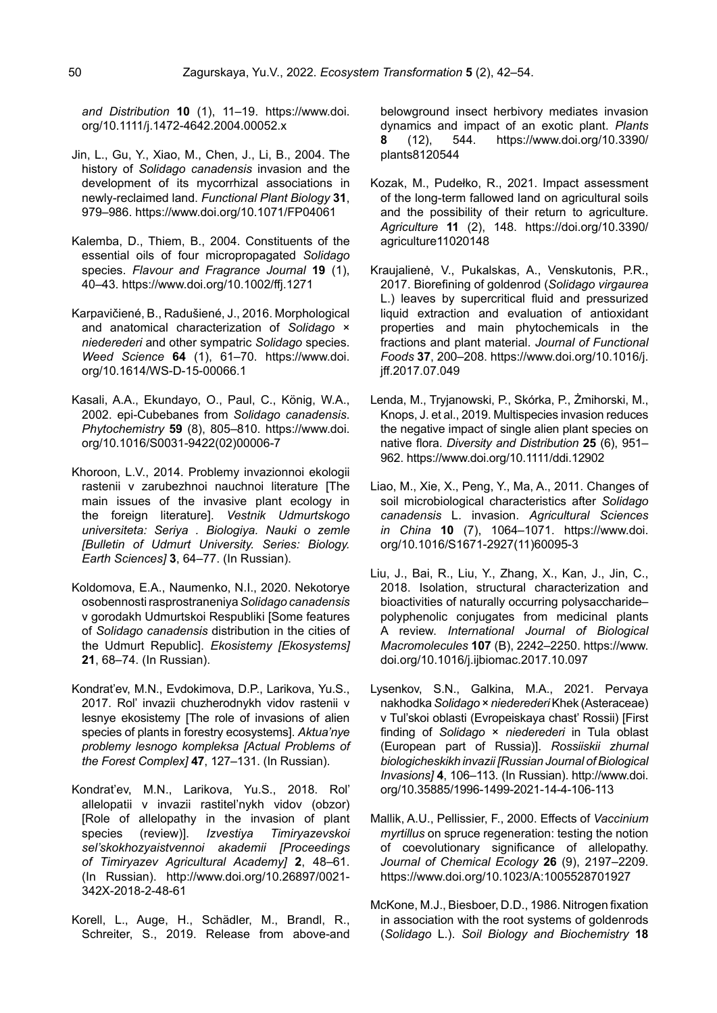*and Distribution* **10** (1), 11–19. https://www.doi. org/10.1111/j.1472-4642.2004.00052.x

- Jin, L., Gu, Y., Xiao, M., Chen, J., Li, B., 2004. The history of *Solidago canadensis* invasion and the development of its mycorrhizal associations in newly-reclaimed land. *Functional Plant Biology* **31**, 979–986. https://www.doi.org/10.1071/FP04061
- Kalemba, D., Thiem, B., 2004. Constituents of the essential oils of four micropropagated *Solidago* species. *Flavour and Fragrance Journal* **19** (1), 40–43. https://www.doi.org/10.1002/ffj.1271
- Karpavičiené, B., Radušiené, J., 2016. Morphological and anatomical characterization of *Solidago* × *niederederi* and other sympatric *Solidago* species. *Weed Science* **64** (1), 61–70. https://www.doi. org/10.1614/WS-D-15-00066.1
- Kasali, A.A., Ekundayo, O., Paul, C., König, W.A., 2002. epi-Cubebanes from *Solidago canadensis*. *Phytochemistry* **59** (8), 805–810. https://www.doi. org/10.1016/S0031-9422(02)00006-7
- Khoroon, L.V., 2014. Problemy invazionnoi ekologii rastenii v zarubezhnoi nauchnoi literature [The main issues of the invasive plant ecology in the foreign literature]. *Vestnik Udmurtskogo universiteta: Seriya . Biologiya. Nauki o zemle [Bulletin of Udmurt University. Series: Biology. Earth Sciences]* **3**, 64–77. (In Russian).
- Koldomova, E.A., Naumenko, N.I., 2020. Nekotorye osobennosti rasprostraneniya *Solidago canadensis* v gorodakh Udmurtskoi Respubliki [Some features of *Solidago canadensis* distribution in the cities of the Udmurt Republic]. *Ekosistemy [Ekosystems]* **21**, 68–74. (In Russian).
- Kondrat'ev, M.N., Evdokimova, D.P., Larikova, Yu.S., 2017. Rol' invazii chuzherodnykh vidov rastenii v lesnye ekosistemy [The role of invasions of alien species of plants in forestry ecosystems]. *Aktua'nye problemy lesnogo kompleksa [Actual Problems of the Forest Complex]* **47**, 127–131. (In Russian).
- Kondrat'ev, M.N., Larikova, Yu.S., 2018. Rol' allelopatii v invazii rastitel'nykh vidov (obzor) [Role of allelopathy in the invasion of plant species (review)]. *Izvestiya Timiryazevskoi sel'skokhozyaistvennoi akademii [Proceedings of Timiryazev Agricultural Academy]* **2**, 48–61. (In Russian). [http://www.doi.org/10.26897/0021-](http://www.doi.org/10.26897/0021-342X-2018-2-48-61) [342X-2018-2-48-61](http://www.doi.org/10.26897/0021-342X-2018-2-48-61)
- Korell, L., Auge, H., Schädler, M., Brandl, R., Schreiter, S., 2019. Release from above-and

belowground insect herbivory mediates invasion dynamics and impact of an exotic plant. *Plants* **8** (12), 544. https://www.doi.org/10.3390/ plants8120544

- Kozak, M., Pudełko, R., 2021. Impact assessment of the long-term fallowed land on agricultural soils and the possibility of their return to agriculture. *Agriculture* **11** (2), 148. https://doi.org/10.3390/ agriculture11020148
- Kraujalienė, V., Pukalskas, A., Venskutonis, P.R., 2017. Biorefining of goldenrod (*Solidago virgaurea* L.) leaves by supercritical fluid and pressurized liquid extraction and evaluation of antioxidant properties and main phytochemicals in the fractions and plant material. *Journal of Functional Foods* **37**, 200–208. https://www.doi.org/10.1016/j. jff.2017.07.049
- Lenda, M., Tryjanowski, P., Skórka, P., Żmihorski, M., Knops, J. et al., 2019. Multispecies invasion reduces the negative impact of single alien plant species on native flora. *Diversity and Distribution* **25** (6), 951– 962. https://www.doi.org/10.1111/ddi.12902
- Liao, M., Xie, X., Peng, Y., Ma, A., 2011. Changes of soil microbiological characteristics after *Solidago сanadensis* L. invasion. *Agricultural Sciences in China* **10** (7), 1064–1071. https://www.doi. org/10.1016/S1671-2927(11)60095-3
- Liu, J., Bai, R., Liu, Y., Zhang, X., Kan, J., Jin, C., 2018. Isolation, structural characterization and bioactivities of naturally occurring polysaccharide– polyphenolic conjugates from medicinal plants A review. *International Journal of Biological Macromolecules* **107** (B), 2242–2250. https://www. doi.org/10.1016/j.ijbiomac.2017.10.097
- Lysenkov, S.N., Galkina, М.А., 2021. Pervaya nakhodka *Solidago* × *niederederi* Khek (Asteraceae) v Tul'skoi oblasti (Evropeiskaya chast' Rossii) [First finding of *Solidago* × *niederederi* in Tula oblast (European part of Russia)]. *Rossiiskii zhurnal biologicheskikh invazii [Russian Journal of Biological Invasions]* **4**, 106–113. (In Russian). [http://www.doi.](http://www.doi.org/10.35885/1996-1499-2021-14-4-106-113) [org/10.35885/1996-1499-2021-14-4-106-113](http://www.doi.org/10.35885/1996-1499-2021-14-4-106-113)
- Mallik, A.U., Pellissier, F., 2000. Effects of *Vaccinium myrtillus* on spruce regeneration: testing the notion of coevolutionary significance of allelopathy. *Journal of Chemical Ecology* **26** (9), 2197–2209. https://www.doi.org/10.1023/A:1005528701927
- McKone, M.J., Biesboer, D.D., 1986. Nitrogen fixation in association with the root systems of goldenrods (*Solidago* L.). *Soil Biology and Biochemistry* **18**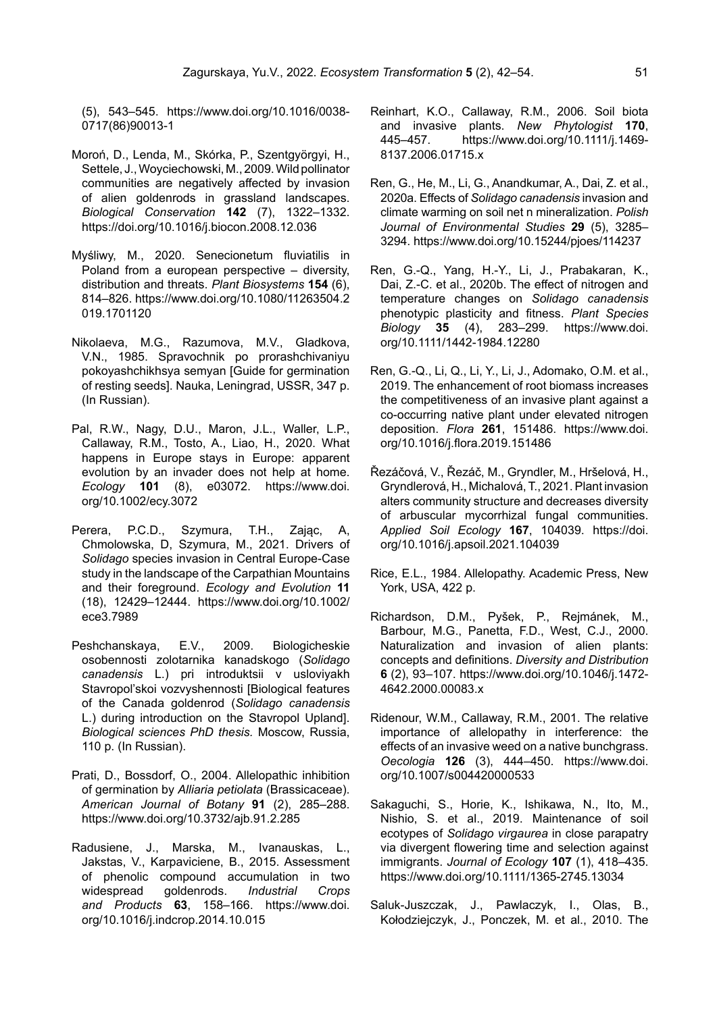(5), 543–545. https://www.doi.org/10.1016/0038- 0717(86)90013-1

- Moroń, D., Lenda, M., Skórka, P., Szentgyörgyi, H., Settele, J., Woyciechowski,M., 2009. Wild pollinator communities are negatively affected by invasion of alien goldenrods in grassland landscapes. *Biological Conservation* **142** (7), 1322–1332. https://doi.org/10.1016/j.biocon.2008.12.036
- Myśliwy, M., 2020. Senecionetum fluviatilis in Poland from a european perspective – diversity, distribution and threats. *Plant Biosystems* **154** (6), 814–826. https://www.doi.org/10.1080/11263504.2 019.1701120
- Nikolaeva, M.G., Razumova, M.V., Gladkova, V.N., 1985. Spravochnik po prorashchivaniyu pokoyashchikhsya semyan [Guide for germination of resting seeds]. Nauka, Leningrad, USSR, 347 p. (In Russian).
- Pal, R.W., Nagy, D.U., Maron, J.L., Waller, L.P., Callaway, R.M., Tosto, A., Liao, H., 2020. What happens in Europe stays in Europe: apparent evolution by an invader does not help at home. *Ecology* **101** (8), e03072. https://www.doi. org/10.1002/ecy.3072
- Perera, P.C.D., Szymura, T.H., Zając, A, Chmolowska, D, Szymura, M., 2021. Drivers of *Solidago* species invasion in Central Europe-Case study in the landscape of the Carpathian Mountains and their foreground. *Ecology and Evolution* **11** (18), 12429–12444. https://www.doi.org/10.1002/ ece3.7989
- Peshchanskaya, E.V., 2009. Biologicheskie osobennosti zolotarnika kanadskogo (*Solidago canadensis* L.) pri introduktsii v usloviyakh Stavropol'skoi vozvyshennosti [Biological features of the Canada goldenrod (*Solidago canadensis* L.) during introduction on the Stavropol Upland]. *Biological sciences PhD thesis.* Moscow, Russia, 110 p. (In Russian).
- Prati, D., Bossdorf, O., 2004. Allelopathic inhibition of germination by *Alliaria petiolata* (Brassicaceae). *American Journal of Botany* **91** (2), 285–288. https://www.doi.org/10.3732/ajb.91.2.285
- Radusiene, J., Marska, M., Ivanauskas, L., Jakstas, V., Karpaviciene, B., 2015. Assessment of phenolic compound accumulation in two widespread goldenrods. *Industrial Crops and Products* **63**, 158–166. https://www.doi. org/10.1016/j.indcrop.2014.10.015
- Reinhart, K.O., Callaway, R.M., 2006. Soil biota and invasive plants. *New Phytologist* **170**, 445–457. https://www.doi.org/10.1111/j.1469- 8137.2006.01715.x
- Ren, G., He, M., Li, G., Anandkumar, A., Dai, Z. et al., 2020a. Effects of *Solidago canadensis* invasion and climate warming on soil net n mineralization. *Polish Journal of Environmental Studies* **29** (5), 3285– 3294. https://www.doi.org/10.15244/pjoes/114237
- Ren, G.-Q., Yang, H.-Y., Li, J., Prabakaran, K., Dai, Z.-C. et al., 2020b. The effect of nitrogen and temperature changes on *Solidago canadensis* phenotypic plasticity and fitness. *Plant Species Biology* **35** (4), 283–299. https://www.doi. org/10.1111/1442-1984.12280
- Ren, G.-Q., Li, Q., Li, Y., Li, J., Adomako, O.M. et al., 2019. The enhancement of root biomass increases the competitiveness of an invasive plant against a co-occurring native plant under elevated nitrogen deposition. *Flora* **261**, 151486. https://www.doi. org/10.1016/j.flora.2019.151486
- Řezáčová, V., Řezáč, M., Gryndler, M., Hršelová, H., Gryndlerová, H., Michalová,T., 2021. Plant invasion alters community structure and decreases diversity of arbuscular mycorrhizal fungal communities. *Applied Soil Ecology* **167**, 104039. https://doi. org/10.1016/j.apsoil.2021.104039
- Rice, E.L., 1984. Allelopathy. Academic Press, New York, USA, 422 p.
- Richardson, D.M., Pyšek, P., Rejmánek, M., Barbour, M.G., Panetta, F.D., West, C.J., 2000. Naturalization and invasion of alien plants: concepts and definitions. *Diversity and Distribution* **6** (2), 93–107. https://www.doi.org/10.1046/j.1472- 4642.2000.00083.x
- Ridenour, W.M., Callaway, R.M., 2001. The relative importance of allelopathy in interference: the effects of an invasive weed on a native bunchgrass. *Oecologia* **126** (3), 444–450. https://www.doi. org/10.1007/s004420000533
- Sakaguchi, S., Horie, K., Ishikawa, N., Ito, M., Nishio, S. et al., 2019. Maintenance of soil ecotypes of *Solidago virgaurea* in close parapatry via divergent flowering time and selection against immigrants. *Journal of Ecology* **107** (1), 418–435. https://www.doi.org/10.1111/1365-2745.13034
- Saluk-Juszczak, J., Pawlaczyk, I., Olas, B., Kołodziejczyk, J., Ponczek, M. et al., 2010. The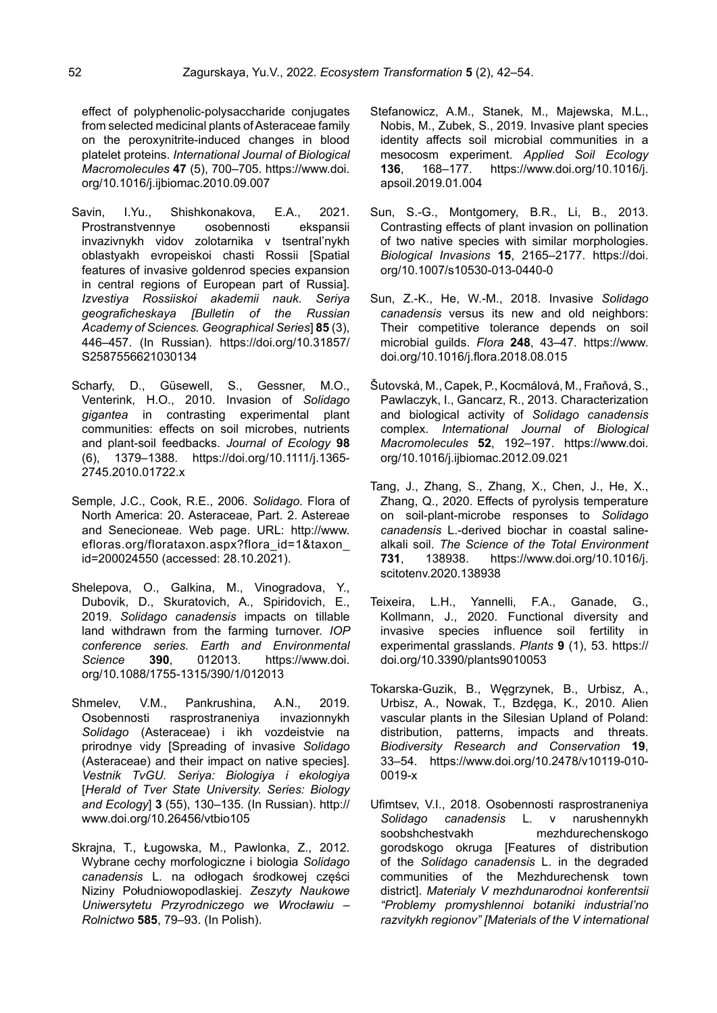effect of polyphenolic-polysaccharide conjugates from selected medicinal plants of Asteraceae family on the peroxynitrite-induced changes in blood platelet proteins. *International Journal of Biological Macromolecules* **47** (5), 700–705. https://www.doi. org/10.1016/j.ijbiomac.2010.09.007

- Savin, I.Yu., Shishkonakova, E.A., 2021. Prostranstvennye osobennosti ekspansii invazivnykh vidov zolotarnika v tsentral'nykh oblastyakh evropeiskoi chasti Rossii [Spatial features of invasive goldenrod species expansion in central regions of European part of Russia]. *Izvestiya Rossiiskoi akademii nauk. Seriya geograficheskaya [Bulletin of the Russian Academy of Sciences. Geographical Series*] **85** (3), 446–457. (In Russian). [https://doi.org/10.31857/](https://doi.org/10.31857/S2587556621030134) [S2587556621030134](https://doi.org/10.31857/S2587556621030134)
- Scharfy, D., Güsewell, S., Gessner, M.O., Venterink, H.O., 2010. Invasion of *Solidago gigantea* in contrasting experimental plant communities: effects on soil microbes, nutrients and plant-soil feedbacks. *Journal of Ecology* **98** (6), 1379–1388. https://doi.org/10.1111/j.1365- 2745.2010.01722.x
- Semple, J.C., Cook, R.E., 2006. *Solidago*. Flora of North America: 20. Asteraceae, Part. 2. Astereae and Senecioneae. Web page. URL: http://www. efloras.org/florataxon.aspx?flora\_id=1&taxon\_ id=200024550 (accessed: 28.10.2021).
- Shelepova, O., Galkina, M., Vinogradova, Y., Dubovik, D., Skuratovich, A., Spiridovich, E., 2019. *Solidago canadensis* impacts on tillable land withdrawn from the farming turnover. *IOP conference series. Earth and Environmental Science* **390**, 012013. https://www.doi. org/10.1088/1755-1315/390/1/012013
- Shmelev, V.M., Pankrushina, A.N., 2019. Osobennosti rasprostraneniya invazionnykh *Solidago* (Asteraceae) i ikh vozdeistvie na prirodnye vidy [Spreading of invasive *Solidago* (Asteraceae) and their impact on native species]. *Vestnik TvGU. Seriya: Biologiya i ekologiya* [*Herald of Tver State University. Series: Biology and Ecology*] **3** (55), 130–135. (In Russian). [http://](http://www.doi.org/10.26456/vtbio105) [www.doi.org/10.26456/vtbio105](http://www.doi.org/10.26456/vtbio105)
- Skrajna, T., Ługowska, M., Pawlonka, Z., 2012. Wybrane cechy morfologiczne i biologia *Solidago canadensis* L. na odłogach środkowej części Niziny Południowopodlaskiej. *Zeszyty Naukowe Uniwersytetu Przyrodniczego we Wrocławiu – Rolnictwo* **585**, 79–93. (In Polish).
- Stefanowicz, A.M., Stanek, M., Majewska, M.L., Nobis, M., Zubek, S., 2019. Invasive plant species identity affects soil microbial communities in a mesocosm experiment. *Applied Soil Ecology* **136**, 168–177. https://www.doi.org/10.1016/j. apsoil.2019.01.004
- Sun, S.-G., Montgomery, B.R., Li, B., 2013. Contrasting effects of plant invasion on pollination of two native species with similar morphologies. *Biological Invasions* **15**, 2165–2177. https://doi. org/10.1007/s10530-013-0440-0
- Sun, Z.-K., He, W.-M., 2018. Invasive *Solidago canadensis* versus its new and old neighbors: Their competitive tolerance depends on soil microbial guilds. *Flora* **248**, 43–47. https://www. doi.org/10.1016/j.flora.2018.08.015
- Šutovská, M., Capek, P., Kocmálová, M., Fraňová, S., Pawlaczyk, I., Gancarz, R., 2013. Characterization and biological activity of *Solidago canadensis* complex. *International Journal of Biological Macromolecules* **52**, 192–197. https://www.doi. org/10.1016/j.ijbiomac.2012.09.021
- Tang, J., Zhang, S., Zhang, X., Chen, J., He, X., Zhang, Q., 2020. Effects of pyrolysis temperature on soil-plant-microbe responses to *Solidago canadensis* L.-derived biochar in coastal salinealkali soil. *The Science of the Total Environment* **731**, 138938. https://www.doi.org/10.1016/j. scitotenv.2020.138938
- Teixeira, L.H., Yannelli, F.A., Ganade, G., Kollmann, J., 2020. Functional diversity and invasive species influence soil fertility in experimental grasslands. *Plants* **9** (1), 53. https:// doi.org/10.3390/plants9010053
- Tokarska-Guzik, B., Węgrzynek, B., Urbisz, A., Urbisz, A., Nowak, T., Bzdęga, K., 2010. Alien vascular plants in the Silesian Upland of Poland: distribution, patterns, impacts and threats. *Biodiversity Research and Conservation* **19**, 33–54. https://www.doi.org/10.2478/v10119-010- 0019-x
- Ufimtsev, V.I., 2018. Osobennosti rasprostraneniya *Solidago canadensis* L. v narushennykh soobshchestvakh mezhdurechenskogo gorodskogo okruga [Features of distribution of the *Solidago canadensis* L. in the degraded communities of the Mezhdurechensk town district]. *Materialy V mezhdunarodnoi konferentsii "Problemy promyshlennoi botaniki industrial'no razvitykh regionov" [Materials of the V international*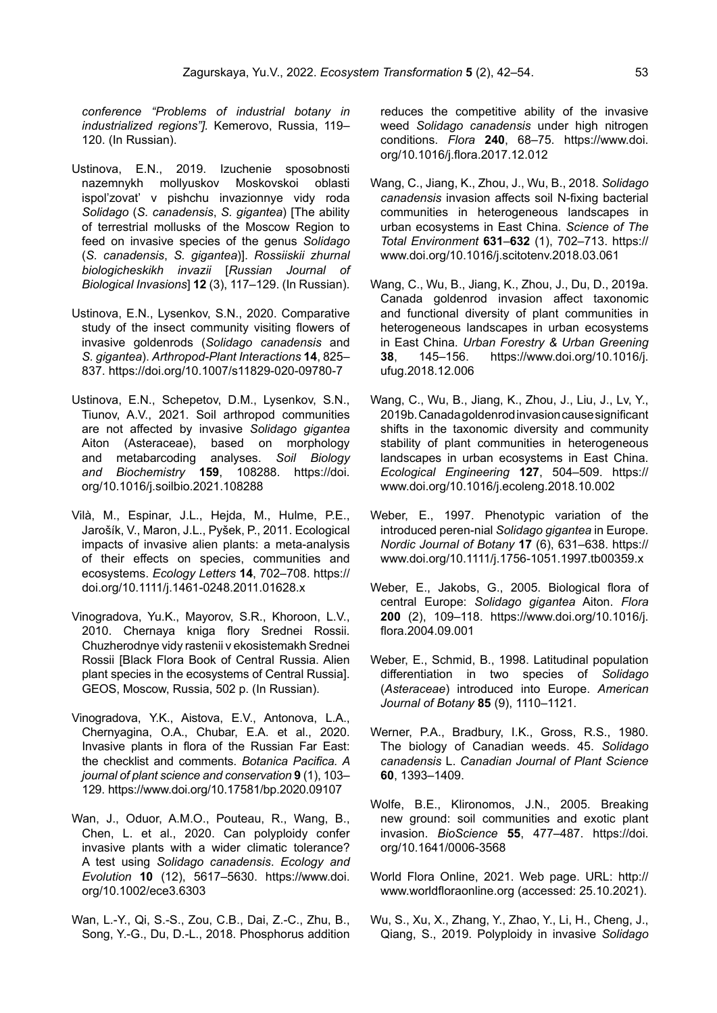*conference "Problems of industrial botany in industrialized regions"].* Kemerovo, Russia, 119– 120. (In Russian).

- Ustinova, E.N., 2019. Izuchenie sposobnosti nazemnykh mollyuskov Moskovskoi oblasti ispol'zovat' v pishchu invazionnye vidy roda *Solidago* (*S. canadensis*, *S. gigantea*) [The ability of terrestrial mollusks of the Moscow Region to feed on invasive species of the genus *Solidago* (*S. canadensis*, *S. gigantea*)]. *Rossiiskii zhurnal biologicheskikh invazii* [*Russian Journal of Biological Invasions*] **12** (3), 117–129. (In Russian).
- Ustinova, E.N., Lysenkov, S.N., 2020. Comparative study of the insect community visiting flowers of invasive goldenrods (*Solidago canadensis* and *S. gigantea*). *Arthropod-Plant Interactions* **14**, 825– 837. https://doi.org/10.1007/s11829-020-09780-7
- Ustinova, E.N., Schepetov, D.M., Lysenkov, S.N., Tiunov, A.V., 2021. Soil arthropod communities are not affected by invasive *Solidago gigantea* Aiton (Asteraceae), based on morphology and metabarcoding analyses. *Soil Biology and Biochemistry* **159**, 108288. https://doi. org/10.1016/j.soilbio.2021.108288
- Vilà, M., Espinar, J.L., Hejda, M., Hulme, P.E., Jarošík, V., Maron, J.L., Pyšek, P., 2011. Ecological impacts of invasive alien plants: a meta-analysis of their effects on species, communities and ecosystems. *Ecology Letters* **14**, 702–708. https:// doi.org/10.1111/j.1461-0248.2011.01628.x
- Vinogradova, Yu.K., Mayorov, S.R., Khoroon, L.V., 2010. Chernaya kniga flory Srednei Rossii. Chuzherodnye vidy rastenii v ekosistemakh Srednei Rossii [Black Flora Book of Central Russia. Alien plant species in the ecosystems of Central Russia]. GEOS, Moscow, Russia, 502 p. (In Russian).
- Vinogradova, Y.K., Aistova, E.V., Antonova, L.A., Chernyagina, O.A., Chubar, E.A. et al., 2020. Invasive plants in flora of the Russian Far East: the checklist and comments. *Botanica Pacifica. A journal of plant science and conservation* **9** (1), 103– 129. https://www.doi.org/10.17581/bp.2020.09107
- Wan, J., Oduor, A.M.O., Pouteau, R., Wang, B., Chen, L. et al., 2020. Can polyploidy confer invasive plants with a wider climatic tolerance? A test using *Solidago canadensis*. *Ecology and Evolution* **10** (12), 5617–5630. https://www.doi. org/10.1002/ece3.6303
- Wan, L.-Y., Qi, S.-S., Zou, C.B., Dai, Z.-C., Zhu, B., Song, Y.-G., Du, D.-L., 2018. Phosphorus addition

reduces the competitive ability of the invasive weed *Solidago canadensis* under high nitrogen conditions. *Flora* **240**, 68–75. https://www.doi. org/10.1016/j.flora.2017.12.012

- Wang, C., Jiang, K., Zhou, J., Wu, B., 2018. *Solidago canadensis* invasion affects soil N-fixing bacterial communities in heterogeneous landscapes in urban ecosystems in East China. *Science of The Total Environment* **631**–**632** (1), 702–713. https:// www.doi.org/10.1016/j.scitotenv.2018.03.061
- Wang, C., Wu, B., Jiang, K., Zhou, J., Du, D., 2019a. Canada goldenrod invasion affect taxonomic and functional diversity of plant communities in heterogeneous landscapes in urban ecosystems in East China. *Urban Forestry & Urban Greening*  **38**, 145–156. https://www.doi.org/10.1016/j. ufug.2018.12.006
- Wang, C., Wu, B., Jiang, K., Zhou, J., Liu, J., Lv, Y., 2019b. Canada goldenrod invasion cause significant shifts in the taxonomic diversity and community stability of plant communities in heterogeneous landscapes in urban ecosystems in East China. *Ecological Engineering* **127**, 504–509. https:// www.doi.org/10.1016/j.ecoleng.2018.10.002
- Weber, E., 1997. Phenotypic variation of the introduced peren-nial *Solidago gigantea* in Europe. *Nordic Journal of Botany* **17** (6), 631–638. https:// www.doi.org/10.1111/j.1756-1051.1997.tb00359.x
- Weber, E., Jakobs, G., 2005. Biological flora of central Europe: *Solidago gigantea* Aiton. *Flora* **200** (2), 109–118. https://www.doi.org/10.1016/j. flora.2004.09.001
- Weber, E., Schmid, B., 1998. Latitudinal population differentiation in two species of *Solidago* (*Asteraceae*) introduced into Europe. *American Journal of Botany* **85** (9), 1110–1121.
- Werner, P.A., Bradbury, I.K., Gross, R.S., 1980. The biology of Canadian weeds. 45. *Solidago canadensis* L. *Canadian Journal of Plant Science* **60**, 1393–1409.
- Wolfe, B.E., Klironomos, J.N., 2005. Breaking new ground: soil communities and exotic plant invasion. *BioScience* **55**, 477–487. https://doi. org/10.1641/0006-3568
- World Flora Online, 2021. Web page. URL: http:// www.worldfloraonline.org (accessed: 25.10.2021).
- Wu, S., Xu, X., Zhang, Y., Zhao, Y., Li, H., Cheng, J., Qiang, S., 2019. Polyploidy in invasive *Solidago*